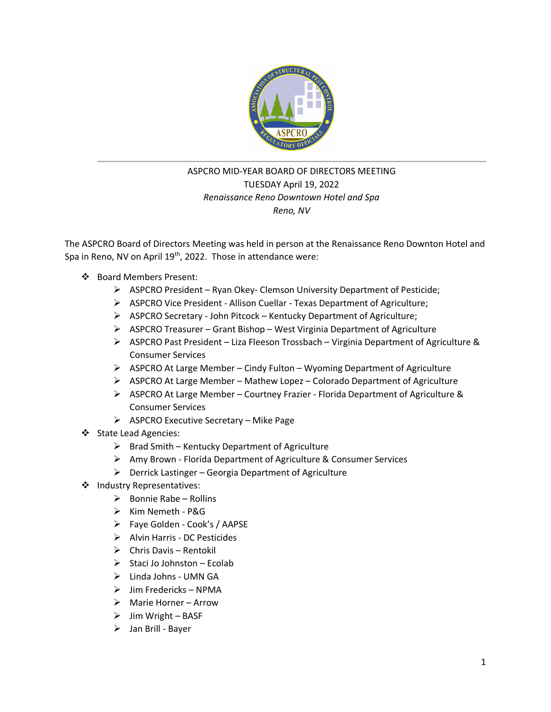

# ASPCRO MID-YEAR BOARD OF DIRECTORS MEETING TUESDAY April 19, 2022 *Renaissance Reno Downtown Hotel and Spa Reno, NV*

The ASPCRO Board of Directors Meeting was held in person at the Renaissance Reno Downton Hotel and Spa in Reno, NV on April 19<sup>th</sup>, 2022. Those in attendance were:

- ❖ Board Members Present:
	- ➢ ASPCRO President Ryan Okey- Clemson University Department of Pesticide;
	- ➢ ASPCRO Vice President Allison Cuellar Texas Department of Agriculture;
	- ➢ ASPCRO Secretary John Pitcock Kentucky Department of Agriculture;
	- $\triangleright$  ASPCRO Treasurer Grant Bishop West Virginia Department of Agriculture
	- $\triangleright$  ASPCRO Past President Liza Fleeson Trossbach Virginia Department of Agriculture & Consumer Services
	- $\triangleright$  ASPCRO At Large Member Cindy Fulton Wyoming Department of Agriculture
	- ➢ ASPCRO At Large Member Mathew Lopez Colorado Department of Agriculture
	- ➢ ASPCRO At Large Member Courtney Frazier Florida Department of Agriculture & Consumer Services
	- ➢ ASPCRO Executive Secretary Mike Page
- ❖ State Lead Agencies:
	- $\triangleright$  Brad Smith Kentucky Department of Agriculture
	- ➢ Amy Brown Florida Department of Agriculture & Consumer Services
	- $\triangleright$  Derrick Lastinger Georgia Department of Agriculture
- ❖ Industry Representatives:
	- $\triangleright$  Bonnie Rabe Rollins
	- ➢ Kim Nemeth P&G
	- ➢ Faye Golden Cook's / AAPSE
	- ➢ Alvin Harris DC Pesticides
	- $\triangleright$  Chris Davis Rentokil
	- $\triangleright$  Staci Jo Johnston Ecolab
	- ➢ Linda Johns UMN GA
	- $\triangleright$  Jim Fredericks NPMA
	- ➢ Marie Horner Arrow
	- $\triangleright$  Jim Wright BASF
	- ➢ Jan Brill Bayer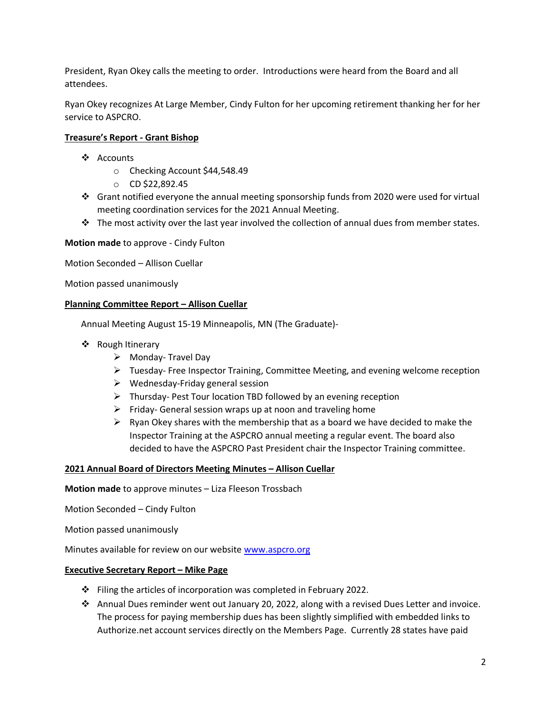President, Ryan Okey calls the meeting to order. Introductions were heard from the Board and all attendees.

Ryan Okey recognizes At Large Member, Cindy Fulton for her upcoming retirement thanking her for her service to ASPCRO.

## **Treasure's Report - Grant Bishop**

- ❖ Accounts
	- o Checking Account \$44,548.49
	- o CD \$22,892.45
- ❖ Grant notified everyone the annual meeting sponsorship funds from 2020 were used for virtual meeting coordination services for the 2021 Annual Meeting.
- ❖ The most activity over the last year involved the collection of annual dues from member states.

**Motion made** to approve - Cindy Fulton

Motion Seconded – Allison Cuellar

Motion passed unanimously

### **Planning Committee Report – Allison Cuellar**

Annual Meeting August 15-19 Minneapolis, MN (The Graduate)-

- ❖ Rough Itinerary
	- ➢ Monday- Travel Day
	- ➢ Tuesday- Free Inspector Training, Committee Meeting, and evening welcome reception
	- $\triangleright$  Wednesday-Friday general session
	- $\triangleright$  Thursday-Pest Tour location TBD followed by an evening reception
	- $\triangleright$  Friday- General session wraps up at noon and traveling home
	- $\triangleright$  Ryan Okey shares with the membership that as a board we have decided to make the Inspector Training at the ASPCRO annual meeting a regular event. The board also decided to have the ASPCRO Past President chair the Inspector Training committee.

### **2021 Annual Board of Directors Meeting Minutes – Allison Cuellar**

**Motion made** to approve minutes – Liza Fleeson Trossbach

Motion Seconded – Cindy Fulton

Motion passed unanimously

Minutes available for review on our website [www.aspcro.org](http://www.aspcro.org/)

### **Executive Secretary Report – Mike Page**

- ❖ Filing the articles of incorporation was completed in February 2022.
- ❖ Annual Dues reminder went out January 20, 2022, along with a revised Dues Letter and invoice. The process for paying membership dues has been slightly simplified with embedded links to Authorize.net account services directly on the Members Page. Currently 28 states have paid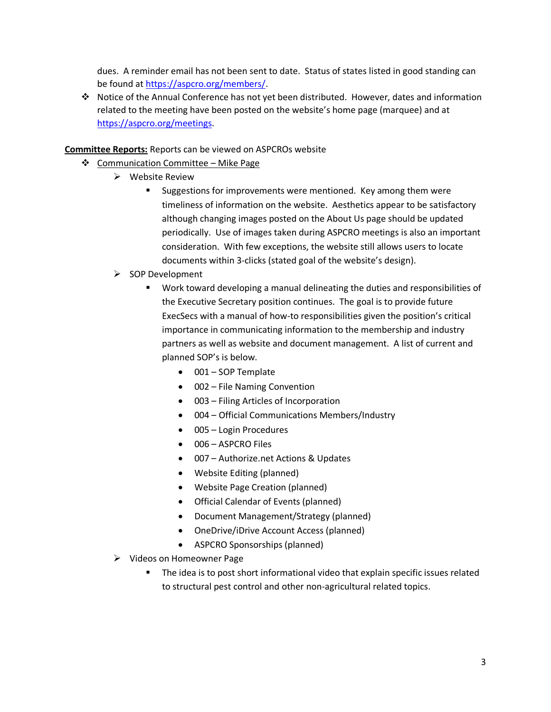dues. A reminder email has not been sent to date. Status of states listed in good standing can be found at [https://aspcro.org/members/.](https://aspcro.org/members/)

❖ Notice of the Annual Conference has not yet been distributed. However, dates and information related to the meeting have been posted on the website's home page (marquee) and at [https://aspcro.org/meetings.](https://aspcro.org/meetings)

## **Committee Reports:** Reports can be viewed on ASPCROs website

- ❖ Communication Committee Mike Page
	- ➢ Website Review
		- Suggestions for improvements were mentioned. Key among them were timeliness of information on the website. Aesthetics appear to be satisfactory although changing images posted on the About Us page should be updated periodically. Use of images taken during ASPCRO meetings is also an important consideration. With few exceptions, the website still allows users to locate documents within 3-clicks (stated goal of the website's design).
	- ➢ SOP Development
		- Work toward developing a manual delineating the duties and responsibilities of the Executive Secretary position continues. The goal is to provide future ExecSecs with a manual of how-to responsibilities given the position's critical importance in communicating information to the membership and industry partners as well as website and document management. A list of current and planned SOP's is below.
			- 001 SOP Template
			- 002 File Naming Convention
			- 003 Filing Articles of Incorporation
			- 004 Official Communications Members/Industry
			- 005 Login Procedures
			- 006 ASPCRO Files
			- 007 Authorize.net Actions & Updates
			- Website Editing (planned)
			- Website Page Creation (planned)
			- Official Calendar of Events (planned)
			- Document Management/Strategy (planned)
			- OneDrive/iDrive Account Access (planned)
			- ASPCRO Sponsorships (planned)
	- ➢ Videos on Homeowner Page
		- The idea is to post short informational video that explain specific issues related to structural pest control and other non-agricultural related topics.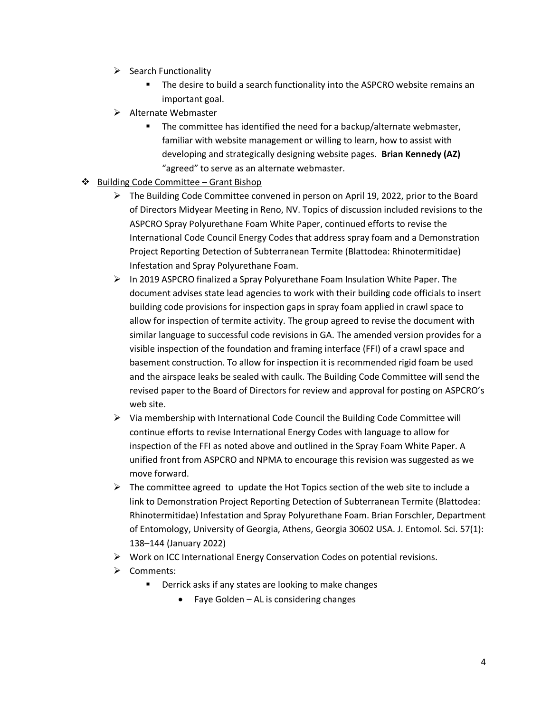- $\triangleright$  Search Functionality
	- The desire to build a search functionality into the ASPCRO website remains an important goal.
- ➢ Alternate Webmaster
	- The committee has identified the need for a backup/alternate webmaster, familiar with website management or willing to learn, how to assist with developing and strategically designing website pages. **Brian Kennedy (AZ)** "agreed" to serve as an alternate webmaster.
- ❖ Building Code Committee Grant Bishop
	- $\triangleright$  The Building Code Committee convened in person on April 19, 2022, prior to the Board of Directors Midyear Meeting in Reno, NV. Topics of discussion included revisions to the ASPCRO Spray Polyurethane Foam White Paper, continued efforts to revise the International Code Council Energy Codes that address spray foam and a Demonstration Project Reporting Detection of Subterranean Termite (Blattodea: Rhinotermitidae) Infestation and Spray Polyurethane Foam.
	- $\triangleright$  In 2019 ASPCRO finalized a Spray Polyurethane Foam Insulation White Paper. The document advises state lead agencies to work with their building code officials to insert building code provisions for inspection gaps in spray foam applied in crawl space to allow for inspection of termite activity. The group agreed to revise the document with similar language to successful code revisions in GA. The amended version provides for a visible inspection of the foundation and framing interface (FFI) of a crawl space and basement construction. To allow for inspection it is recommended rigid foam be used and the airspace leaks be sealed with caulk. The Building Code Committee will send the revised paper to the Board of Directors for review and approval for posting on ASPCRO's web site.
	- ➢ Via membership with International Code Council the Building Code Committee will continue efforts to revise International Energy Codes with language to allow for inspection of the FFI as noted above and outlined in the Spray Foam White Paper. A unified front from ASPCRO and NPMA to encourage this revision was suggested as we move forward.
	- $\triangleright$  The committee agreed to update the Hot Topics section of the web site to include a link to Demonstration Project Reporting Detection of Subterranean Termite (Blattodea: Rhinotermitidae) Infestation and Spray Polyurethane Foam. Brian Forschler, Department of Entomology, University of Georgia, Athens, Georgia 30602 USA. J. Entomol. Sci. 57(1): 138–144 (January 2022)
	- ➢ Work on ICC International Energy Conservation Codes on potential revisions.
	- ➢ Comments:
		- Derrick asks if any states are looking to make changes
			- Faye Golden AL is considering changes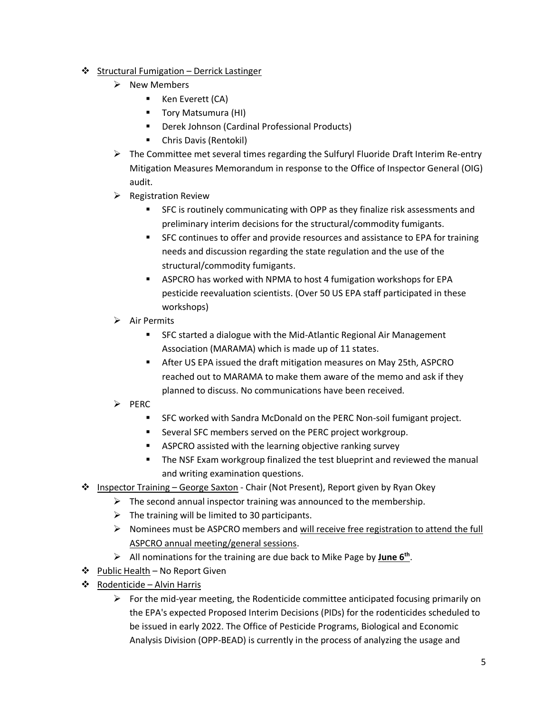## ❖ Structural Fumigation – Derrick Lastinger

- ➢ New Members
	- Ken Everett (CA)
	- Tory Matsumura (HI)
	- Derek Johnson (Cardinal Professional Products)
	- Chris Davis (Rentokil)
- $\triangleright$  The Committee met several times regarding the Sulfuryl Fluoride Draft Interim Re-entry Mitigation Measures Memorandum in response to the Office of Inspector General (OIG) audit.
- $\triangleright$  Registration Review
	- SFC is routinely communicating with OPP as they finalize risk assessments and preliminary interim decisions for the structural/commodity fumigants.
	- SFC continues to offer and provide resources and assistance to EPA for training needs and discussion regarding the state regulation and the use of the structural/commodity fumigants.
	- ASPCRO has worked with NPMA to host 4 fumigation workshops for EPA pesticide reevaluation scientists. (Over 50 US EPA staff participated in these workshops)
- ➢ Air Permits
	- SFC started a dialogue with the Mid-Atlantic Regional Air Management Association (MARAMA) which is made up of 11 states.
	- After US EPA issued the draft mitigation measures on May 25th, ASPCRO reached out to MARAMA to make them aware of the memo and ask if they planned to discuss. No communications have been received.
- ➢ PERC
	- SFC worked with Sandra McDonald on the PERC Non-soil fumigant project.
	- Several SFC members served on the PERC project workgroup.
	- ASPCRO assisted with the learning objective ranking survey
	- The NSF Exam workgroup finalized the test blueprint and reviewed the manual and writing examination questions.
- ❖ Inspector Training George Saxton Chair (Not Present), Report given by Ryan Okey
	- $\triangleright$  The second annual inspector training was announced to the membership.
	- $\triangleright$  The training will be limited to 30 participants.
	- $\triangleright$  Nominees must be ASPCRO members and will receive free registration to attend the full ASPCRO annual meeting/general sessions.
	- ➢ All nominations for the training are due back to Mike Page by **June 6th** .
- ❖ Public Health No Report Given
- ❖ Rodenticide Alvin Harris
	- $\triangleright$  For the mid-year meeting, the Rodenticide committee anticipated focusing primarily on the EPA's expected Proposed Interim Decisions (PIDs) for the rodenticides scheduled to be issued in early 2022. The Office of Pesticide Programs, Biological and Economic Analysis Division (OPP-BEAD) is currently in the process of analyzing the usage and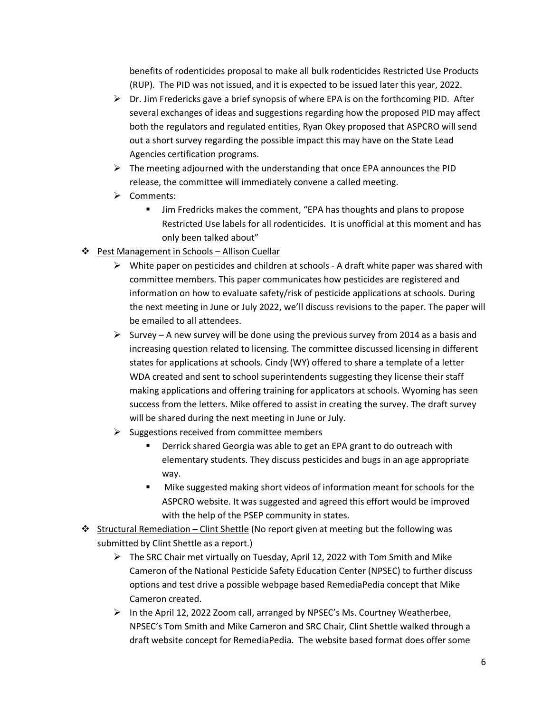benefits of rodenticides proposal to make all bulk rodenticides Restricted Use Products (RUP). The PID was not issued, and it is expected to be issued later this year, 2022.

- $\triangleright$  Dr. Jim Fredericks gave a brief synopsis of where EPA is on the forthcoming PID. After several exchanges of ideas and suggestions regarding how the proposed PID may affect both the regulators and regulated entities, Ryan Okey proposed that ASPCRO will send out a short survey regarding the possible impact this may have on the State Lead Agencies certification programs.
- $\triangleright$  The meeting adjourned with the understanding that once EPA announces the PID release, the committee will immediately convene a called meeting.
- ➢ Comments:
	- Jim Fredricks makes the comment, "EPA has thoughts and plans to propose Restricted Use labels for all rodenticides. It is unofficial at this moment and has only been talked about"
- ❖ Pest Management in Schools Allison Cuellar
	- $\triangleright$  White paper on pesticides and children at schools A draft white paper was shared with committee members. This paper communicates how pesticides are registered and information on how to evaluate safety/risk of pesticide applications at schools. During the next meeting in June or July 2022, we'll discuss revisions to the paper. The paper will be emailed to all attendees.
	- $\triangleright$  Survey A new survey will be done using the previous survey from 2014 as a basis and increasing question related to licensing. The committee discussed licensing in different states for applications at schools. Cindy (WY) offered to share a template of a letter WDA created and sent to school superintendents suggesting they license their staff making applications and offering training for applicators at schools. Wyoming has seen success from the letters. Mike offered to assist in creating the survey. The draft survey will be shared during the next meeting in June or July.
	- $\triangleright$  Suggestions received from committee members
		- Derrick shared Georgia was able to get an EPA grant to do outreach with elementary students. They discuss pesticides and bugs in an age appropriate way.
		- Mike suggested making short videos of information meant for schools for the ASPCRO website. It was suggested and agreed this effort would be improved with the help of the PSEP community in states.
- ❖ Structural Remediation Clint Shettle (No report given at meeting but the following was submitted by Clint Shettle as a report.)
	- $\triangleright$  The SRC Chair met virtually on Tuesday, April 12, 2022 with Tom Smith and Mike Cameron of the National Pesticide Safety Education Center (NPSEC) to further discuss options and test drive a possible webpage based RemediaPedia concept that Mike Cameron created.
	- $\triangleright$  In the April 12, 2022 Zoom call, arranged by NPSEC's Ms. Courtney Weatherbee, NPSEC's Tom Smith and Mike Cameron and SRC Chair, Clint Shettle walked through a draft website concept for RemediaPedia. The website based format does offer some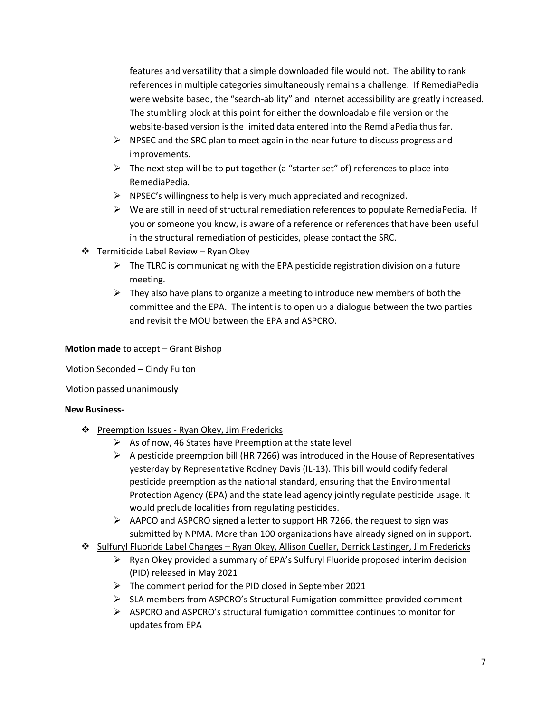features and versatility that a simple downloaded file would not. The ability to rank references in multiple categories simultaneously remains a challenge. If RemediaPedia were website based, the "search-ability" and internet accessibility are greatly increased. The stumbling block at this point for either the downloadable file version or the website-based version is the limited data entered into the RemdiaPedia thus far.

- $\triangleright$  NPSEC and the SRC plan to meet again in the near future to discuss progress and improvements.
- $\triangleright$  The next step will be to put together (a "starter set" of) references to place into RemediaPedia.
- ➢ NPSEC's willingness to help is very much appreciated and recognized.
- $\triangleright$  We are still in need of structural remediation references to populate RemediaPedia. If you or someone you know, is aware of a reference or references that have been useful in the structural remediation of pesticides, please contact the SRC.
- ❖ Termiticide Label Review Ryan Okey
	- $\triangleright$  The TLRC is communicating with the EPA pesticide registration division on a future meeting.
	- $\triangleright$  They also have plans to organize a meeting to introduce new members of both the committee and the EPA. The intent is to open up a dialogue between the two parties and revisit the MOU between the EPA and ASPCRO.

### **Motion made** to accept – Grant Bishop

Motion Seconded – Cindy Fulton

Motion passed unanimously

### **New Business-**

- ❖ Preemption Issues Ryan Okey, Jim Fredericks
	- $\triangleright$  As of now, 46 States have Preemption at the state level
	- $\triangleright$  A pesticide preemption bill (HR 7266) was introduced in the House of Representatives yesterday by Representative Rodney Davis (IL-13). This bill would codify federal pesticide preemption as the national standard, ensuring that the Environmental Protection Agency (EPA) and the state lead agency jointly regulate pesticide usage. It would preclude localities from regulating pesticides.
	- ➢ AAPCO and ASPCRO signed a letter to support HR 7266, the request to sign was submitted by NPMA. More than 100 organizations have already signed on in support.
- ❖ Sulfuryl Fluoride Label Changes Ryan Okey, Allison Cuellar, Derrick Lastinger, Jim Fredericks
	- $\triangleright$  Ryan Okey provided a summary of EPA's Sulfuryl Fluoride proposed interim decision (PID) released in May 2021
	- $\triangleright$  The comment period for the PID closed in September 2021
	- $\triangleright$  SLA members from ASPCRO's Structural Fumigation committee provided comment
	- ➢ ASPCRO and ASPCRO's structural fumigation committee continues to monitor for updates from EPA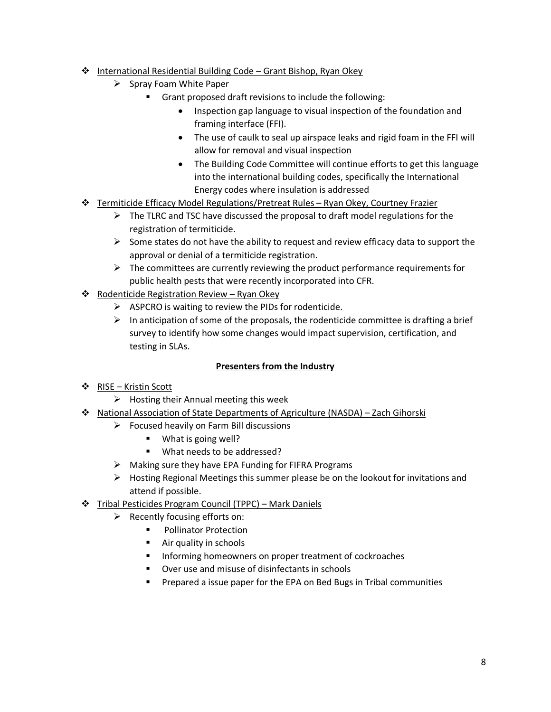- ❖ International Residential Building Code Grant Bishop, Ryan Okey
	- ➢ Spray Foam White Paper
		- Grant proposed draft revisions to include the following:
			- Inspection gap language to visual inspection of the foundation and framing interface (FFI).
			- The use of caulk to seal up airspace leaks and rigid foam in the FFI will allow for removal and visual inspection
			- The Building Code Committee will continue efforts to get this language into the international building codes, specifically the International Energy codes where insulation is addressed
- ❖ Termiticide Efficacy Model Regulations/Pretreat Rules Ryan Okey, Courtney Frazier
	- $\triangleright$  The TLRC and TSC have discussed the proposal to draft model regulations for the registration of termiticide.
	- $\triangleright$  Some states do not have the ability to request and review efficacy data to support the approval or denial of a termiticide registration.
	- $\triangleright$  The committees are currently reviewing the product performance requirements for public health pests that were recently incorporated into CFR.
- ❖ Rodenticide Registration Review Ryan Okey
	- ➢ ASPCRO is waiting to review the PIDs for rodenticide.
	- $\triangleright$  In anticipation of some of the proposals, the rodenticide committee is drafting a brief survey to identify how some changes would impact supervision, certification, and testing in SLAs.

## **Presenters from the Industry**

- ❖ RISE Kristin Scott
	- $\triangleright$  Hosting their Annual meeting this week
- ❖ National Association of State Departments of Agriculture (NASDA) Zach Gihorski
	- $\triangleright$  Focused heavily on Farm Bill discussions
		- What is going well?
		- What needs to be addressed?
	- ➢ Making sure they have EPA Funding for FIFRA Programs
	- $\triangleright$  Hosting Regional Meetings this summer please be on the lookout for invitations and attend if possible.
- ❖ Tribal Pesticides Program Council (TPPC) Mark Daniels
	- $\triangleright$  Recently focusing efforts on:
		- Pollinator Protection
		- Air quality in schools
		- Informing homeowners on proper treatment of cockroaches
		- Over use and misuse of disinfectants in schools
		- Prepared a issue paper for the EPA on Bed Bugs in Tribal communities